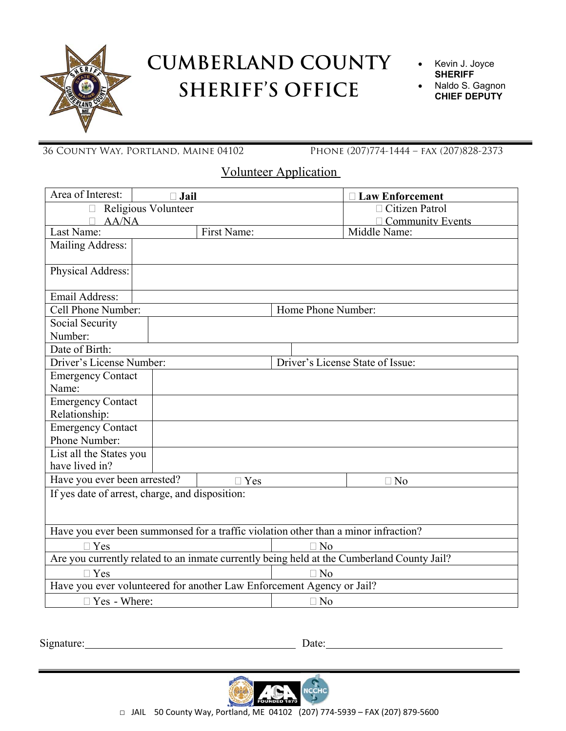

## **CUMBERLAND COUNTY SHERIFF'S OFFICE**

- Kevin J. Joyce **SHERIFF**
- Naldo S. Gagnon **CHIEF DEPUTY**

36 County Way, Portland, Maine 04102 Phone (207)774-1444 – fax (207)828-2373

Volunteer Application

| Area of Interest:                                                                          | $\Box$ Jail |             |                                  | <b>Law Enforcement</b>  |  |
|--------------------------------------------------------------------------------------------|-------------|-------------|----------------------------------|-------------------------|--|
| Religious Volunteer<br>$\Box$                                                              |             |             |                                  | $\Box$ Citizen Patrol   |  |
| <b>AA/NA</b>                                                                               |             |             |                                  | <b>Community Events</b> |  |
| Last Name:                                                                                 |             | First Name: |                                  | Middle Name:            |  |
| Mailing Address:                                                                           |             |             |                                  |                         |  |
| Physical Address:                                                                          |             |             |                                  |                         |  |
| Email Address:                                                                             |             |             |                                  |                         |  |
| Cell Phone Number:                                                                         |             |             | Home Phone Number:               |                         |  |
| Social Security                                                                            |             |             |                                  |                         |  |
| Number:                                                                                    |             |             |                                  |                         |  |
| Date of Birth:                                                                             |             |             |                                  |                         |  |
| Driver's License Number:                                                                   |             |             | Driver's License State of Issue: |                         |  |
| <b>Emergency Contact</b>                                                                   |             |             |                                  |                         |  |
| Name:                                                                                      |             |             |                                  |                         |  |
| <b>Emergency Contact</b>                                                                   |             |             |                                  |                         |  |
| Relationship:                                                                              |             |             |                                  |                         |  |
| <b>Emergency Contact</b>                                                                   |             |             |                                  |                         |  |
| Phone Number:                                                                              |             |             |                                  |                         |  |
| List all the States you                                                                    |             |             |                                  |                         |  |
| have lived in?                                                                             |             |             |                                  |                         |  |
| Have you ever been arrested?                                                               |             | $\Box$ Yes  |                                  | $\Box$ No               |  |
| If yes date of arrest, charge, and disposition:                                            |             |             |                                  |                         |  |
| Have you ever been summonsed for a traffic violation other than a minor infraction?        |             |             |                                  |                         |  |
| $\Box$ Yes                                                                                 |             |             | $\Box$ No                        |                         |  |
| Are you currently related to an inmate currently being held at the Cumberland County Jail? |             |             |                                  |                         |  |
| $\Box$ Yes                                                                                 |             | $\Box$ No   |                                  |                         |  |
| Have you ever volunteered for another Law Enforcement Agency or Jail?                      |             |             |                                  |                         |  |
| $\Box$ Yes - Where:                                                                        |             | $\Box$ No   |                                  |                         |  |

Signature: Date: Date: Date: